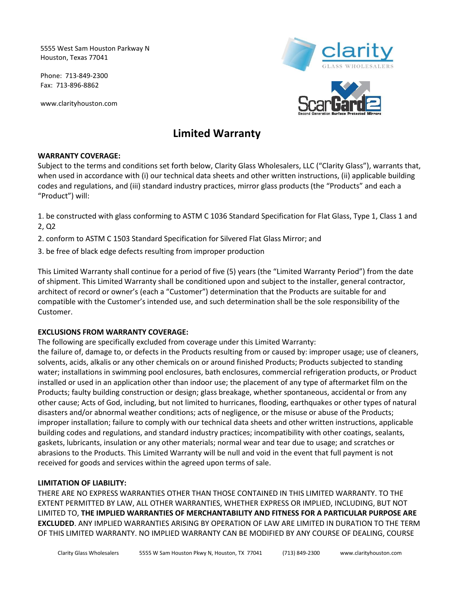5555 West Sam Houston Parkway N Houston, Texas 77041

Phone: 713-849-2300 Fax: 713-896-8862

www.clarityhouston.com



# **Limited Warranty**

# **WARRANTY COVERAGE:**

Subject to the terms and conditions set forth below, Clarity Glass Wholesalers, LLC ("Clarity Glass"), warrants that, when used in accordance with (i) our technical data sheets and other written instructions, (ii) applicable building codes and regulations, and (iii) standard industry practices, mirror glass products (the "Products" and each a "Product") will:

1. be constructed with glass conforming to ASTM C 1036 Standard Specification for Flat Glass, Type 1, Class 1 and 2, Q2

2. conform to ASTM C 1503 Standard Specification for Silvered Flat Glass Mirror; and

3. be free of black edge defects resulting from improper production

This Limited Warranty shall continue for a period of five (5) years (the "Limited Warranty Period") from the date of shipment. This Limited Warranty shall be conditioned upon and subject to the installer, general contractor, architect of record or owner's (each a "Customer") determination that the Products are suitable for and compatible with the Customer's intended use, and such determination shall be the sole responsibility of the Customer.

## **EXCLUSIONS FROM WARRANTY COVERAGE:**

The following are specifically excluded from coverage under this Limited Warranty:

the failure of, damage to, or defects in the Products resulting from or caused by: improper usage; use of cleaners, solvents, acids, alkalis or any other chemicals on or around finished Products; Products subjected to standing water; installations in swimming pool enclosures, bath enclosures, commercial refrigeration products, or Product installed or used in an application other than indoor use; the placement of any type of aftermarket film on the Products; faulty building construction or design; glass breakage, whether spontaneous, accidental or from any other cause; Acts of God, including, but not limited to hurricanes, flooding, earthquakes or other types of natural disasters and/or abnormal weather conditions; acts of negligence, or the misuse or abuse of the Products; improper installation; failure to comply with our technical data sheets and other written instructions, applicable building codes and regulations, and standard industry practices; incompatibility with other coatings, sealants, gaskets, lubricants, insulation or any other materials; normal wear and tear due to usage; and scratches or abrasions to the Products. This Limited Warranty will be null and void in the event that full payment is not received for goods and services within the agreed upon terms of sale.

## **LIMITATION OF LIABILITY:**

THERE ARE NO EXPRESS WARRANTIES OTHER THAN THOSE CONTAINED IN THIS LIMITED WARRANTY. TO THE EXTENT PERMITTED BY LAW, ALL OTHER WARRANTIES, WHETHER EXPRESS OR IMPLIED, INCLUDING, BUT NOT LIMITED TO, **THE IMPLIED WARRANTIES OF MERCHANTABILITY AND FITNESS FOR A PARTICULAR PURPOSE ARE EXCLUDED**. ANY IMPLIED WARRANTIES ARISING BY OPERATION OF LAW ARE LIMITED IN DURATION TO THE TERM OF THIS LIMITED WARRANTY. NO IMPLIED WARRANTY CAN BE MODIFIED BY ANY COURSE OF DEALING, COURSE